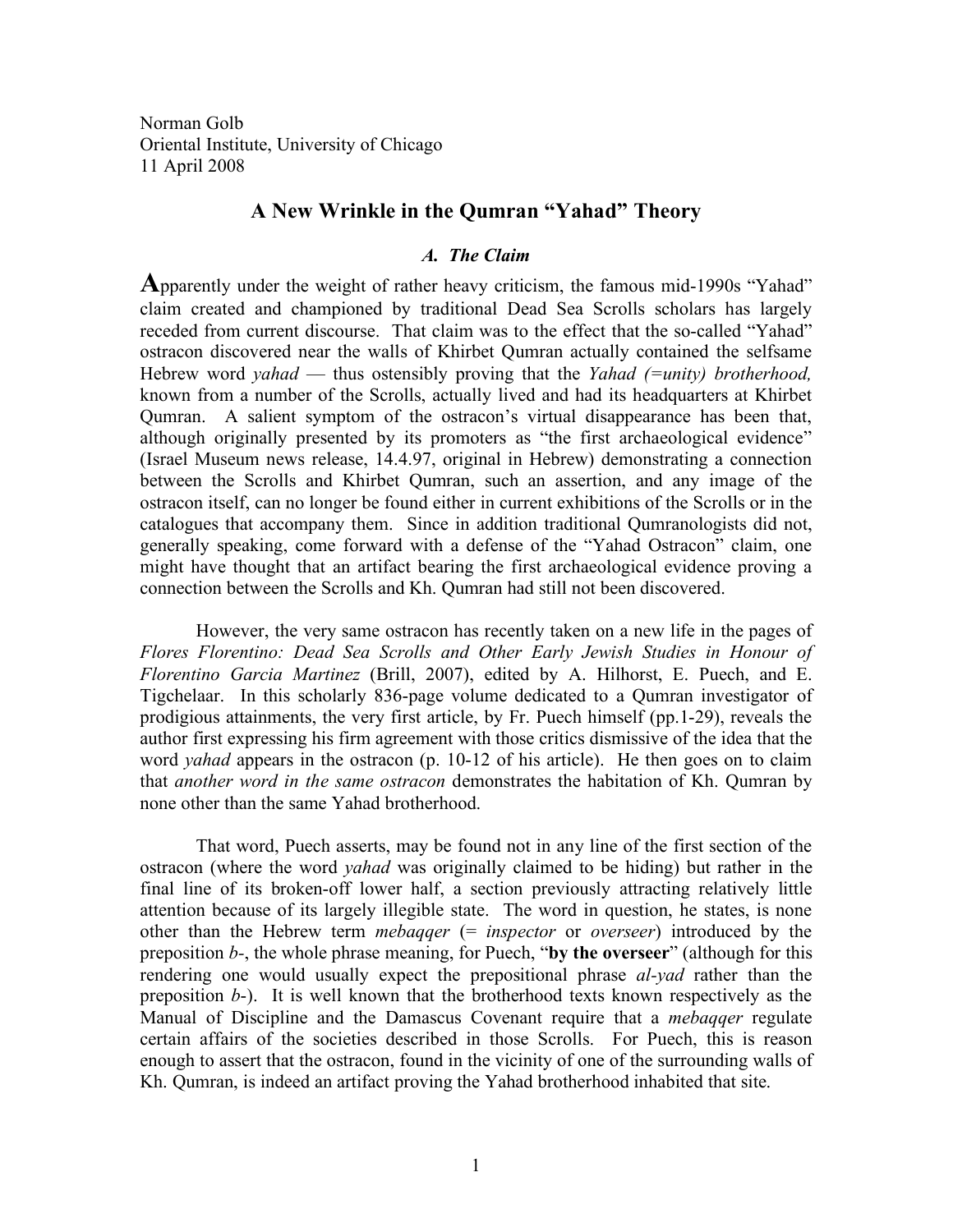Norman Golb Oriental Institute, University of Chicago 11 April 2008

# **A New Wrinkle in the Qumran "Yahad" Theory**

### *A. The Claim*

**A**pparently under the weight of rather heavy criticism, the famous mid-1990s "Yahad" claim created and championed by traditional Dead Sea Scrolls scholars has largely receded from current discourse. That claim was to the effect that the so-called "Yahad" ostracon discovered near the walls of Khirbet Qumran actually contained the selfsame Hebrew word *yahad* — thus ostensibly proving that the *Yahad (=unity) brotherhood,* known from a number of the Scrolls, actually lived and had its headquarters at Khirbet Qumran. A salient symptom of the ostracon's virtual disappearance has been that, although originally presented by its promoters as "the first archaeological evidence" (Israel Museum news release, 14.4.97, original in Hebrew) demonstrating a connection between the Scrolls and Khirbet Qumran, such an assertion, and any image of the ostracon itself, can no longer be found either in current exhibitions of the Scrolls or in the catalogues that accompany them. Since in addition traditional Qumranologists did not, generally speaking, come forward with a defense of the "Yahad Ostracon" claim, one might have thought that an artifact bearing the first archaeological evidence proving a connection between the Scrolls and Kh. Qumran had still not been discovered.

However, the very same ostracon has recently taken on a new life in the pages of *Flores Florentino: Dead Sea Scrolls and Other Early Jewish Studies in Honour of Florentino Garcia Martinez* (Brill, 2007), edited by A. Hilhorst, E. Puech, and E. Tigchelaar. In this scholarly 836-page volume dedicated to a Qumran investigator of prodigious attainments, the very first article, by Fr. Puech himself (pp.1-29), reveals the author first expressing his firm agreement with those critics dismissive of the idea that the word *yahad* appears in the ostracon (p. 10-12 of his article). He then goes on to claim that *another word in the same ostracon* demonstrates the habitation of Kh. Qumran by none other than the same Yahad brotherhood.

That word, Puech asserts, may be found not in any line of the first section of the ostracon (where the word *yahad* was originally claimed to be hiding) but rather in the final line of its broken-off lower half, a section previously attracting relatively little attention because of its largely illegible state. The word in question, he states, is none other than the Hebrew term *mebaqqer* (= *inspector* or *overseer*) introduced by the preposition *b-*, the whole phrase meaning, for Puech, "**by the overseer**" (although for this rendering one would usually expect the prepositional phrase *al-yad* rather than the preposition *b*-). It is well known that the brotherhood texts known respectively as the Manual of Discipline and the Damascus Covenant require that a *mebaqqer* regulate certain affairs of the societies described in those Scrolls. For Puech, this is reason enough to assert that the ostracon, found in the vicinity of one of the surrounding walls of Kh. Qumran, is indeed an artifact proving the Yahad brotherhood inhabited that site.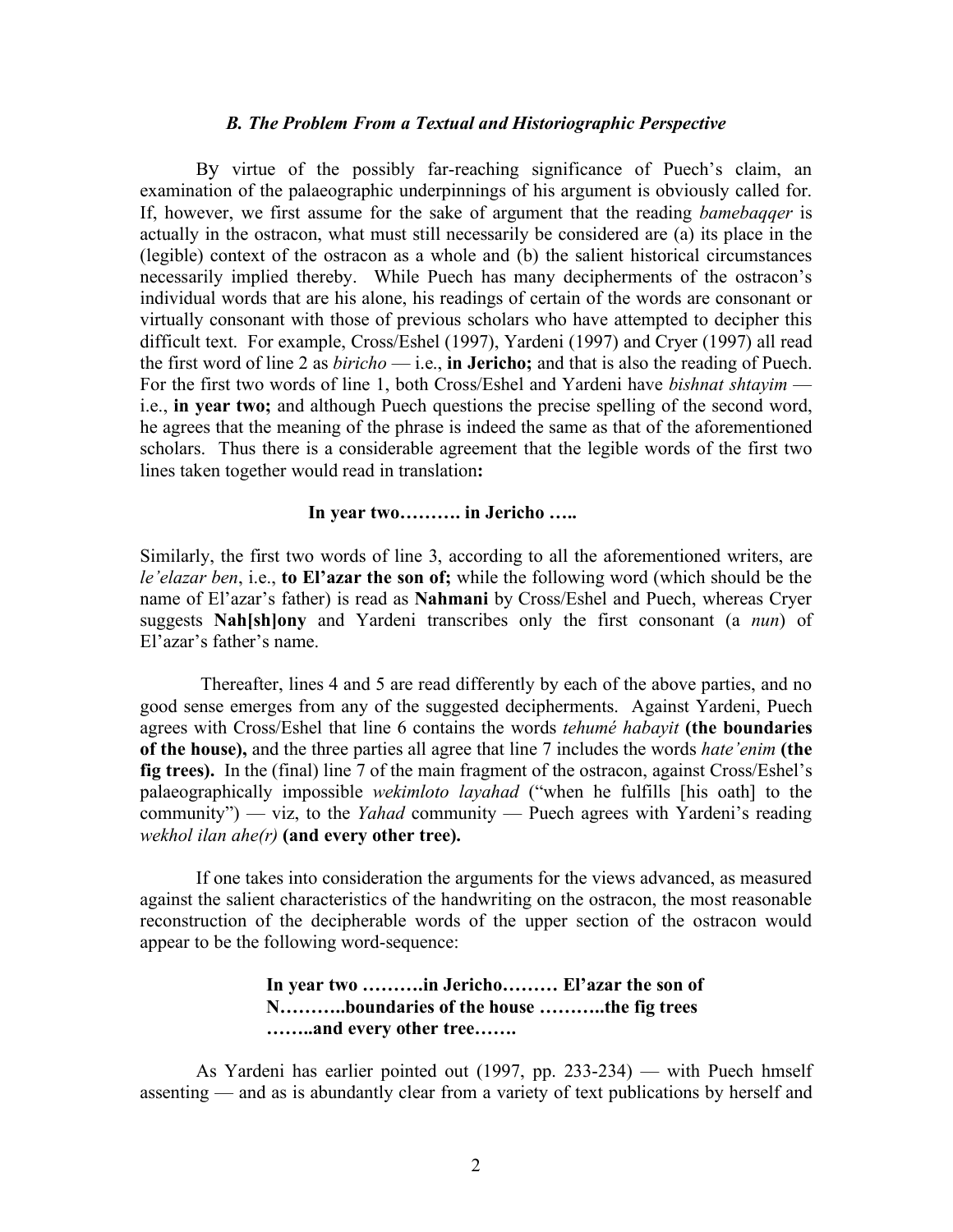#### *B. The Problem From a Textual and Historiographic Perspective*

By virtue of the possibly far-reaching significance of Puech's claim, an examination of the palaeographic underpinnings of his argument is obviously called for. If, however, we first assume for the sake of argument that the reading *bamebaqqer* is actually in the ostracon, what must still necessarily be considered are (a) its place in the (legible) context of the ostracon as a whole and (b) the salient historical circumstances necessarily implied thereby. While Puech has many decipherments of the ostracon's individual words that are his alone, his readings of certain of the words are consonant or virtually consonant with those of previous scholars who have attempted to decipher this difficult text. For example, Cross/Eshel (1997), Yardeni (1997) and Cryer (1997) all read the first word of line 2 as *biricho* — i.e., **in Jericho;** and that is also the reading of Puech. For the first two words of line 1, both Cross/Eshel and Yardeni have *bishnat shtayim* i.e., **in year two;** and although Puech questions the precise spelling of the second word, he agrees that the meaning of the phrase is indeed the same as that of the aforementioned scholars. Thus there is a considerable agreement that the legible words of the first two lines taken together would read in translation**:**

## **In year two………. in Jericho …..**

Similarly, the first two words of line 3, according to all the aforementioned writers, are *le'elazar ben*, i.e., **to El'azar the son of;** while the following word (which should be the name of El'azar's father) is read as **Nahmani** by Cross/Eshel and Puech, whereas Cryer suggests **Nah[sh]ony** and Yardeni transcribes only the first consonant (a *nun*) of El'azar's father's name.

Thereafter, lines 4 and 5 are read differently by each of the above parties, and no good sense emerges from any of the suggested decipherments. Against Yardeni, Puech agrees with Cross/Eshel that line 6 contains the words *tehumé habayit* **(the boundaries of the house),** and the three parties all agree that line 7 includes the words *hate'enim* **(the fig trees).** In the (final) line 7 of the main fragment of the ostracon, against Cross/Eshel's palaeographically impossible *wekimloto layahad* ("when he fulfills [his oath] to the community") — viz, to the *Yahad* community — Puech agrees with Yardeni's reading *wekhol ilan ahe(r)* **(and every other tree).**

If one takes into consideration the arguments for the views advanced, as measured against the salient characteristics of the handwriting on the ostracon, the most reasonable reconstruction of the decipherable words of the upper section of the ostracon would appear to be the following word-sequence:

## **In year two ……….in Jericho……… El'azar the son of N………..boundaries of the house ………..the fig trees ……..and every other tree…….**

As Yardeni has earlier pointed out (1997, pp. 233-234) — with Puech hmself assenting — and as is abundantly clear from a variety of text publications by herself and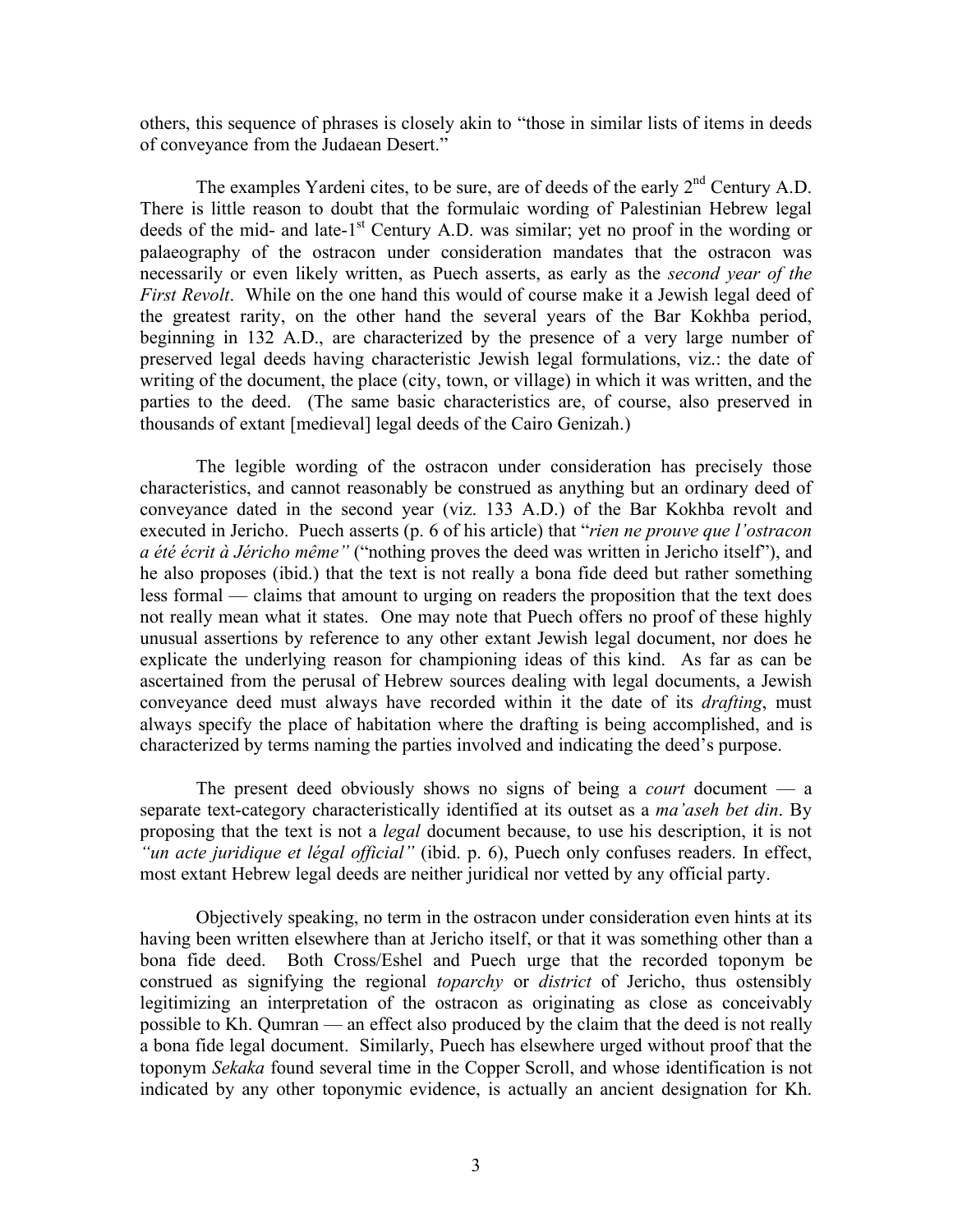others, this sequence of phrases is closely akin to "those in similar lists of items in deeds of conveyance from the Judaean Desert."

The examples Yardeni cites, to be sure, are of deeds of the early  $2<sup>nd</sup>$  Century A.D. There is little reason to doubt that the formulaic wording of Palestinian Hebrew legal deeds of the mid- and late-1<sup>st</sup> Century A.D. was similar; yet no proof in the wording or palaeography of the ostracon under consideration mandates that the ostracon was necessarily or even likely written, as Puech asserts, as early as the *second year of the First Revolt*. While on the one hand this would of course make it a Jewish legal deed of the greatest rarity, on the other hand the several years of the Bar Kokhba period, beginning in 132 A.D., are characterized by the presence of a very large number of preserved legal deeds having characteristic Jewish legal formulations, viz.: the date of writing of the document, the place (city, town, or village) in which it was written, and the parties to the deed. (The same basic characteristics are, of course, also preserved in thousands of extant [medieval] legal deeds of the Cairo Genizah.)

The legible wording of the ostracon under consideration has precisely those characteristics, and cannot reasonably be construed as anything but an ordinary deed of conveyance dated in the second year (viz. 133 A.D.) of the Bar Kokhba revolt and executed in Jericho. Puech asserts (p. 6 of his article) that "*rien ne prouve que l'ostracon a été écrit à Jéricho même"* ("nothing proves the deed was written in Jericho itself"), and he also proposes (ibid.) that the text is not really a bona fide deed but rather something less formal — claims that amount to urging on readers the proposition that the text does not really mean what it states. One may note that Puech offers no proof of these highly unusual assertions by reference to any other extant Jewish legal document, nor does he explicate the underlying reason for championing ideas of this kind. As far as can be ascertained from the perusal of Hebrew sources dealing with legal documents, a Jewish conveyance deed must always have recorded within it the date of its *drafting*, must always specify the place of habitation where the drafting is being accomplished, and is characterized by terms naming the parties involved and indicating the deed's purpose.

The present deed obviously shows no signs of being a *court* document — a separate text-category characteristically identified at its outset as a *ma'aseh bet din*. By proposing that the text is not a *legal* document because, to use his description, it is not *"un acte juridique et légal official"* (ibid. p. 6), Puech only confuses readers. In effect, most extant Hebrew legal deeds are neither juridical nor vetted by any official party.

Objectively speaking, no term in the ostracon under consideration even hints at its having been written elsewhere than at Jericho itself, or that it was something other than a bona fide deed. Both Cross/Eshel and Puech urge that the recorded toponym be construed as signifying the regional *toparchy* or *district* of Jericho, thus ostensibly legitimizing an interpretation of the ostracon as originating as close as conceivably possible to Kh. Qumran — an effect also produced by the claim that the deed is not really a bona fide legal document. Similarly, Puech has elsewhere urged without proof that the toponym *Sekaka* found several time in the Copper Scroll, and whose identification is not indicated by any other toponymic evidence, is actually an ancient designation for Kh.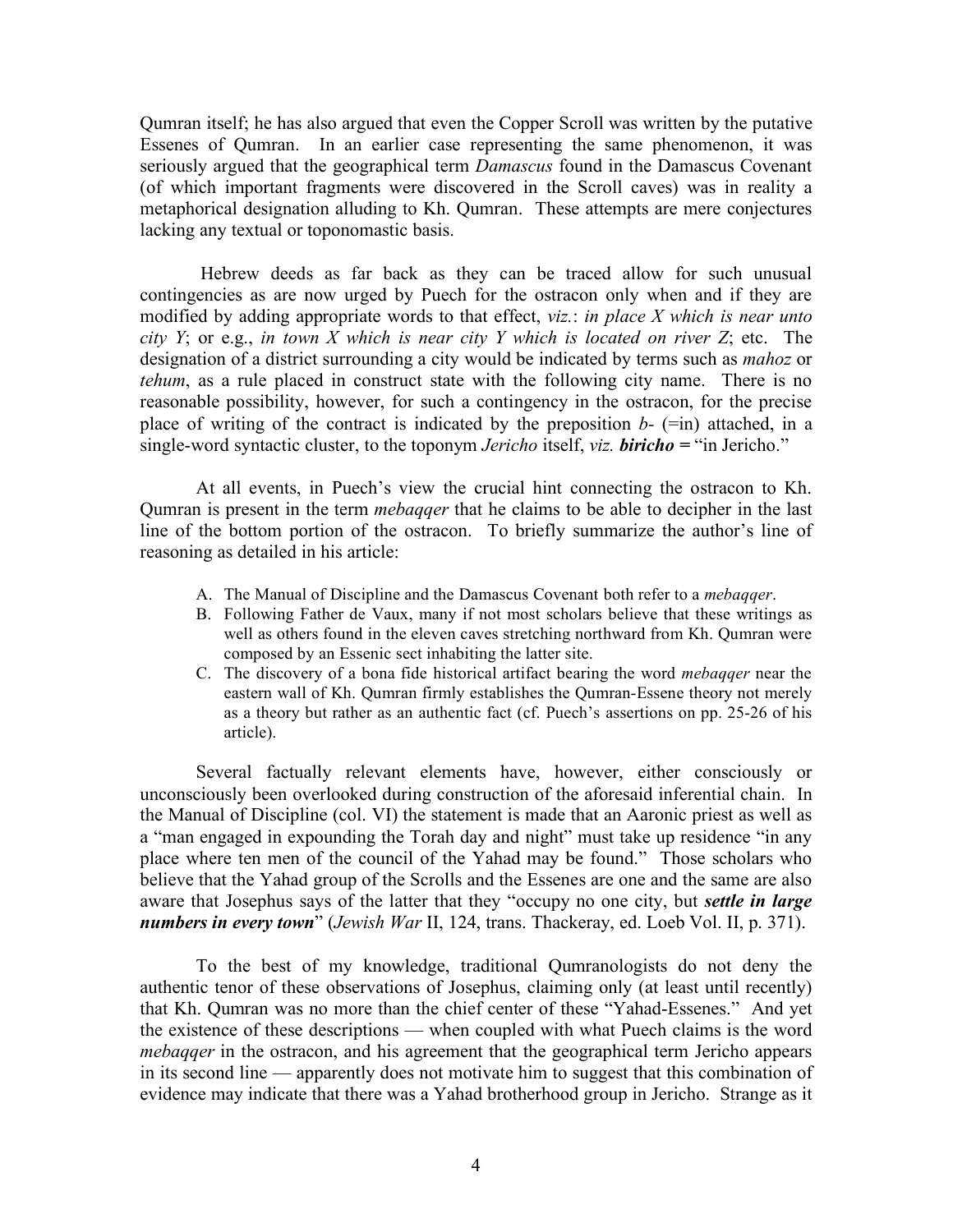Qumran itself; he has also argued that even the Copper Scroll was written by the putative Essenes of Qumran. In an earlier case representing the same phenomenon, it was seriously argued that the geographical term *Damascus* found in the Damascus Covenant (of which important fragments were discovered in the Scroll caves) was in reality a metaphorical designation alluding to Kh. Qumran. These attempts are mere conjectures lacking any textual or toponomastic basis.

Hebrew deeds as far back as they can be traced allow for such unusual contingencies as are now urged by Puech for the ostracon only when and if they are modified by adding appropriate words to that effect, *viz.*: *in place X which is near unto city Y*; or e.g., *in town X which is near city Y which is located on river Z*; etc. The designation of a district surrounding a city would be indicated by terms such as *mahoz* or *tehum*, as a rule placed in construct state with the following city name. There is no reasonable possibility, however, for such a contingency in the ostracon, for the precise place of writing of the contract is indicated by the preposition  $b-$  (=in) attached, in a single-word syntactic cluster, to the toponym *Jericho* itself, *viz. biricho =* "in Jericho."

At all events, in Puech's view the crucial hint connecting the ostracon to Kh. Qumran is present in the term *mebaqqer* that he claims to be able to decipher in the last line of the bottom portion of the ostracon. To briefly summarize the author's line of reasoning as detailed in his article:

- A. The Manual of Discipline and the Damascus Covenant both refer to a *mebaqqer*.
- B. Following Father de Vaux, many if not most scholars believe that these writings as well as others found in the eleven caves stretching northward from Kh. Qumran were composed by an Essenic sect inhabiting the latter site.
- C. The discovery of a bona fide historical artifact bearing the word *mebaqqer* near the eastern wall of Kh. Qumran firmly establishes the Qumran-Essene theory not merely as a theory but rather as an authentic fact (cf. Puech's assertions on pp. 25-26 of his article).

Several factually relevant elements have, however, either consciously or unconsciously been overlooked during construction of the aforesaid inferential chain. In the Manual of Discipline (col. VI) the statement is made that an Aaronic priest as well as a "man engaged in expounding the Torah day and night" must take up residence "in any place where ten men of the council of the Yahad may be found." Those scholars who believe that the Yahad group of the Scrolls and the Essenes are one and the same are also aware that Josephus says of the latter that they "occupy no one city, but *settle in large numbers in every town*" (*Jewish War* II, 124, trans. Thackeray, ed. Loeb Vol. II, p. 371).

To the best of my knowledge, traditional Qumranologists do not deny the authentic tenor of these observations of Josephus, claiming only (at least until recently) that Kh. Qumran was no more than the chief center of these "Yahad-Essenes." And yet the existence of these descriptions — when coupled with what Puech claims is the word *mebagger* in the ostracon, and his agreement that the geographical term Jericho appears in its second line — apparently does not motivate him to suggest that this combination of evidence may indicate that there was a Yahad brotherhood group in Jericho. Strange as it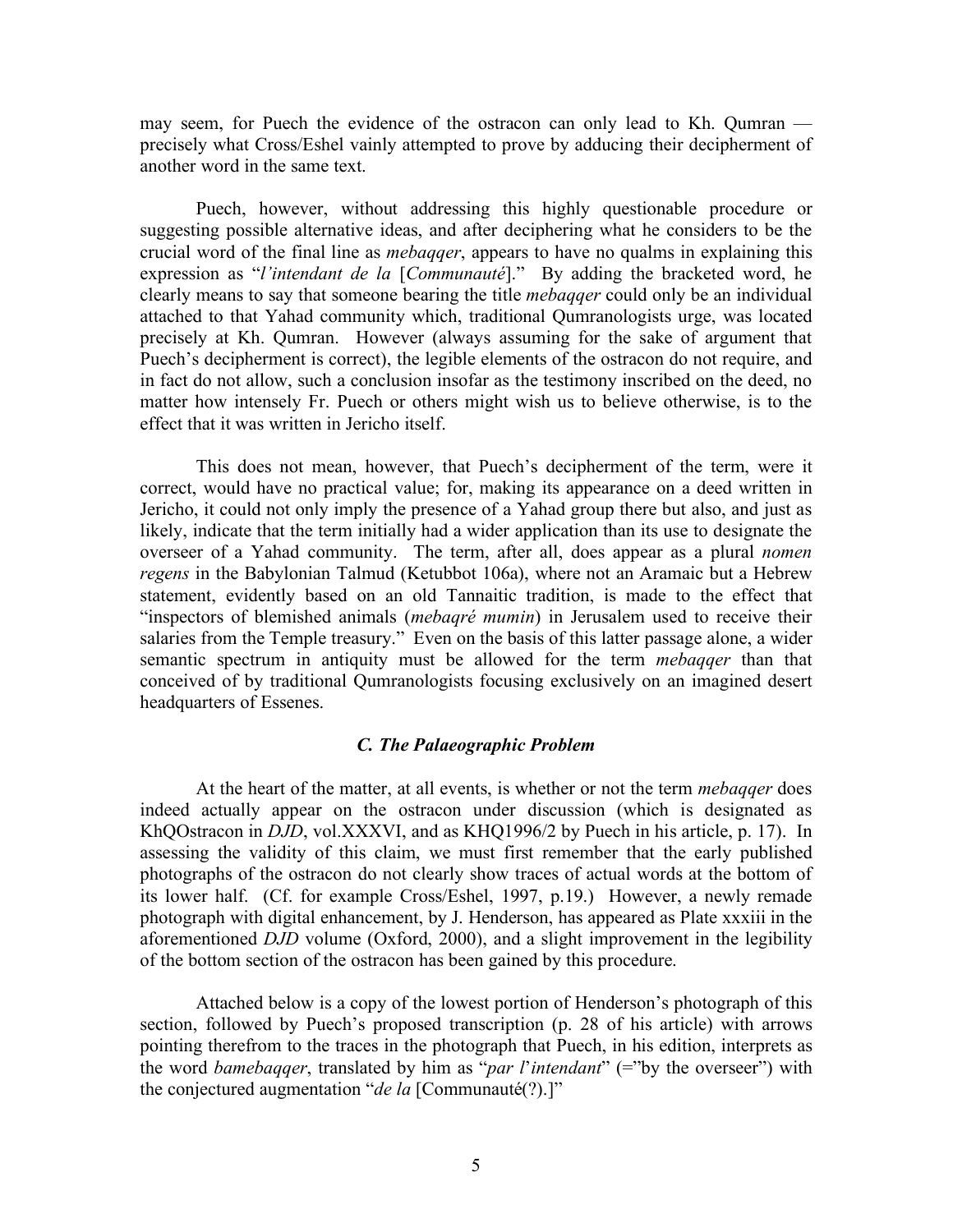may seem, for Puech the evidence of the ostracon can only lead to Kh. Qumran precisely what Cross/Eshel vainly attempted to prove by adducing their decipherment of another word in the same text.

Puech, however, without addressing this highly questionable procedure or suggesting possible alternative ideas, and after deciphering what he considers to be the crucial word of the final line as *mebaqqer*, appears to have no qualms in explaining this expression as "*l'intendant de la* [*Communauté*]." By adding the bracketed word, he clearly means to say that someone bearing the title *mebaqqer* could only be an individual attached to that Yahad community which, traditional Qumranologists urge, was located precisely at Kh. Qumran. However (always assuming for the sake of argument that Puech's decipherment is correct), the legible elements of the ostracon do not require, and in fact do not allow, such a conclusion insofar as the testimony inscribed on the deed, no matter how intensely Fr. Puech or others might wish us to believe otherwise, is to the effect that it was written in Jericho itself.

This does not mean, however, that Puech's decipherment of the term, were it correct, would have no practical value; for, making its appearance on a deed written in Jericho, it could not only imply the presence of a Yahad group there but also, and just as likely, indicate that the term initially had a wider application than its use to designate the overseer of a Yahad community. The term, after all, does appear as a plural *nomen regens* in the Babylonian Talmud (Ketubbot 106a), where not an Aramaic but a Hebrew statement, evidently based on an old Tannaitic tradition, is made to the effect that "inspectors of blemished animals (*mebaqré mumin*) in Jerusalem used to receive their salaries from the Temple treasury." Even on the basis of this latter passage alone, a wider semantic spectrum in antiquity must be allowed for the term *mebaqqer* than that conceived of by traditional Qumranologists focusing exclusively on an imagined desert headquarters of Essenes.

## *C. The Palaeographic Problem*

At the heart of the matter, at all events, is whether or not the term *mebaqqer* does indeed actually appear on the ostracon under discussion (which is designated as KhQOstracon in *DJD*, vol.XXXVI, and as KHQ1996/2 by Puech in his article, p. 17). In assessing the validity of this claim, we must first remember that the early published photographs of the ostracon do not clearly show traces of actual words at the bottom of its lower half. (Cf. for example Cross/Eshel, 1997, p.19.) However, a newly remade photograph with digital enhancement, by J. Henderson, has appeared as Plate xxxiii in the aforementioned *DJD* volume (Oxford, 2000), and a slight improvement in the legibility of the bottom section of the ostracon has been gained by this procedure.

Attached below is a copy of the lowest portion of Henderson's photograph of this section, followed by Puech's proposed transcription (p. 28 of his article) with arrows pointing therefrom to the traces in the photograph that Puech, in his edition, interprets as the word *bamebaqqer*, translated by him as "*par l*'*intendant*" (="by the overseer") with the conjectured augmentation "*de la* [Communauté(?).]"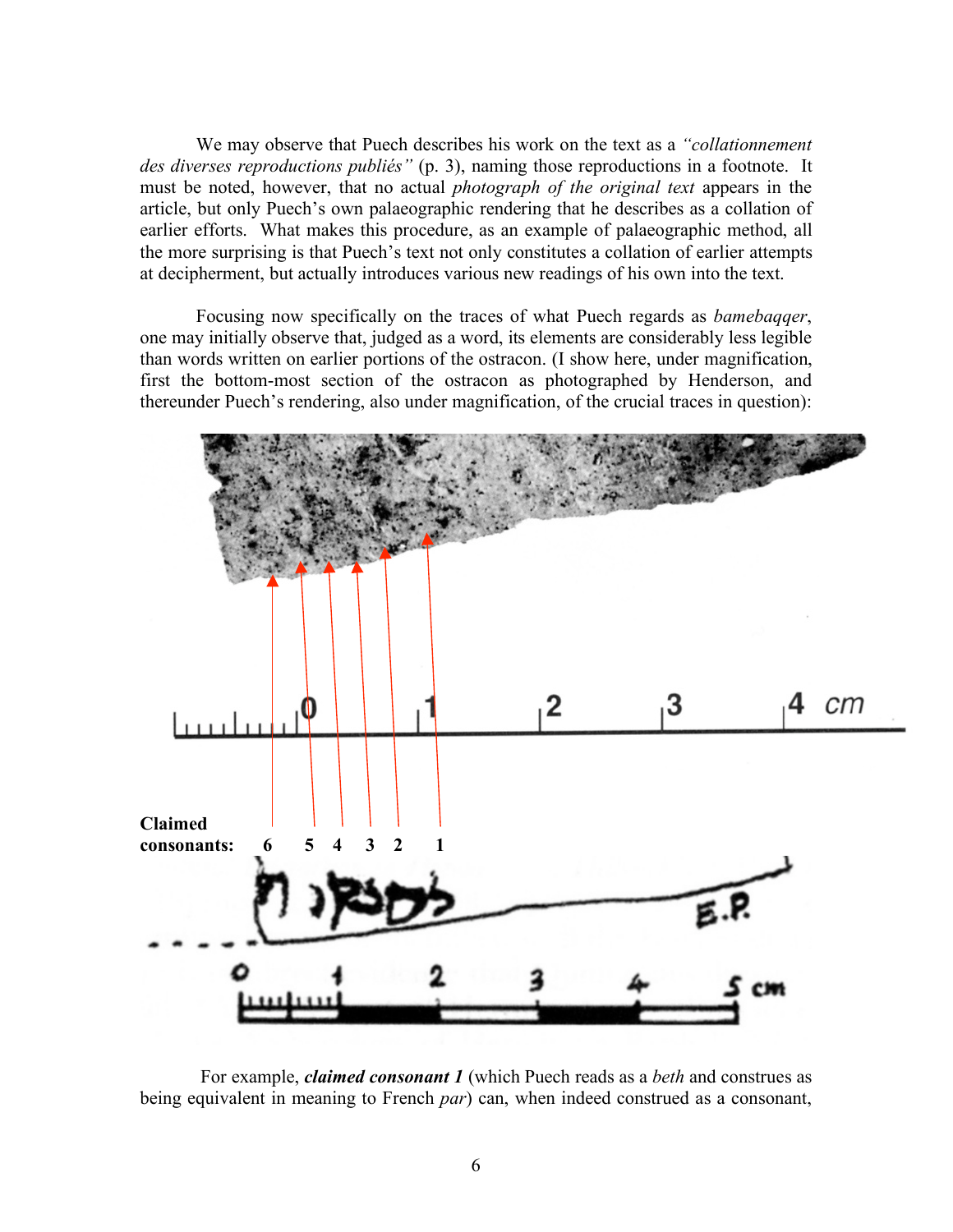We may observe that Puech describes his work on the text as a *"collationnement des diverses reproductions publiés"* (p. 3), naming those reproductions in a footnote. It must be noted, however, that no actual *photograph of the original text* appears in the article, but only Puech's own palaeographic rendering that he describes as a collation of earlier efforts. What makes this procedure, as an example of palaeographic method, all the more surprising is that Puech's text not only constitutes a collation of earlier attempts at decipherment, but actually introduces various new readings of his own into the text.

Focusing now specifically on the traces of what Puech regards as *bamebaqqer*, one may initially observe that, judged as a word, its elements are considerably less legible than words written on earlier portions of the ostracon. (I show here, under magnification, first the bottom-most section of the ostracon as photographed by Henderson, and thereunder Puech's rendering, also under magnification, of the crucial traces in question):



For example, *claimed consonant 1* (which Puech reads as a *beth* and construes as being equivalent in meaning to French *par*) can, when indeed construed as a consonant,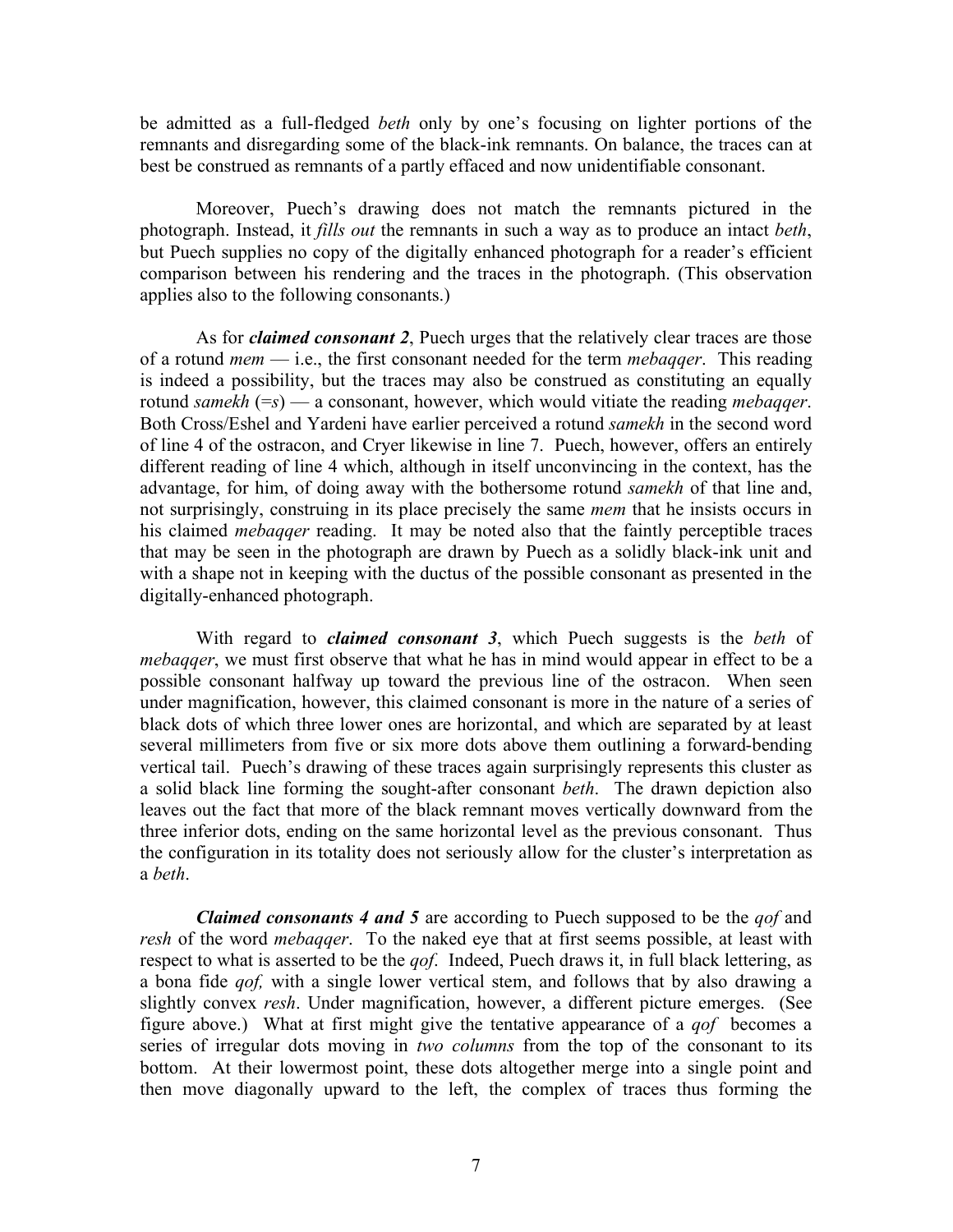be admitted as a full-fledged *beth* only by one's focusing on lighter portions of the remnants and disregarding some of the black-ink remnants. On balance, the traces can at best be construed as remnants of a partly effaced and now unidentifiable consonant.

Moreover, Puech's drawing does not match the remnants pictured in the photograph. Instead, it *fills out* the remnants in such a way as to produce an intact *beth*, but Puech supplies no copy of the digitally enhanced photograph for a reader's efficient comparison between his rendering and the traces in the photograph. (This observation applies also to the following consonants.)

As for *claimed consonant 2*, Puech urges that the relatively clear traces are those of a rotund *mem* — i.e., the first consonant needed for the term *mebaqqer*. This reading is indeed a possibility, but the traces may also be construed as constituting an equally rotund *samekh* (=*s*) — a consonant, however, which would vitiate the reading *mebaqqer*. Both Cross/Eshel and Yardeni have earlier perceived a rotund *samekh* in the second word of line 4 of the ostracon, and Cryer likewise in line 7. Puech, however, offers an entirely different reading of line 4 which, although in itself unconvincing in the context, has the advantage, for him, of doing away with the bothersome rotund *samekh* of that line and, not surprisingly, construing in its place precisely the same *mem* that he insists occurs in his claimed *mebaqqer* reading. It may be noted also that the faintly perceptible traces that may be seen in the photograph are drawn by Puech as a solidly black-ink unit and with a shape not in keeping with the ductus of the possible consonant as presented in the digitally-enhanced photograph.

With regard to *claimed consonant 3*, which Puech suggests is the *beth* of *mebaqqer*, we must first observe that what he has in mind would appear in effect to be a possible consonant halfway up toward the previous line of the ostracon. When seen under magnification, however, this claimed consonant is more in the nature of a series of black dots of which three lower ones are horizontal, and which are separated by at least several millimeters from five or six more dots above them outlining a forward-bending vertical tail. Puech's drawing of these traces again surprisingly represents this cluster as a solid black line forming the sought-after consonant *beth*. The drawn depiction also leaves out the fact that more of the black remnant moves vertically downward from the three inferior dots, ending on the same horizontal level as the previous consonant. Thus the configuration in its totality does not seriously allow for the cluster's interpretation as a *beth*.

*Claimed consonants 4 and 5* are according to Puech supposed to be the *qof* and *resh* of the word *mebaqqer*. To the naked eye that at first seems possible, at least with respect to what is asserted to be the *qof*. Indeed, Puech draws it, in full black lettering, as a bona fide *qof,* with a single lower vertical stem, and follows that by also drawing a slightly convex *resh*. Under magnification, however, a different picture emerges. (See figure above.) What at first might give the tentative appearance of a *qof* becomes a series of irregular dots moving in *two columns* from the top of the consonant to its bottom. At their lowermost point, these dots altogether merge into a single point and then move diagonally upward to the left, the complex of traces thus forming the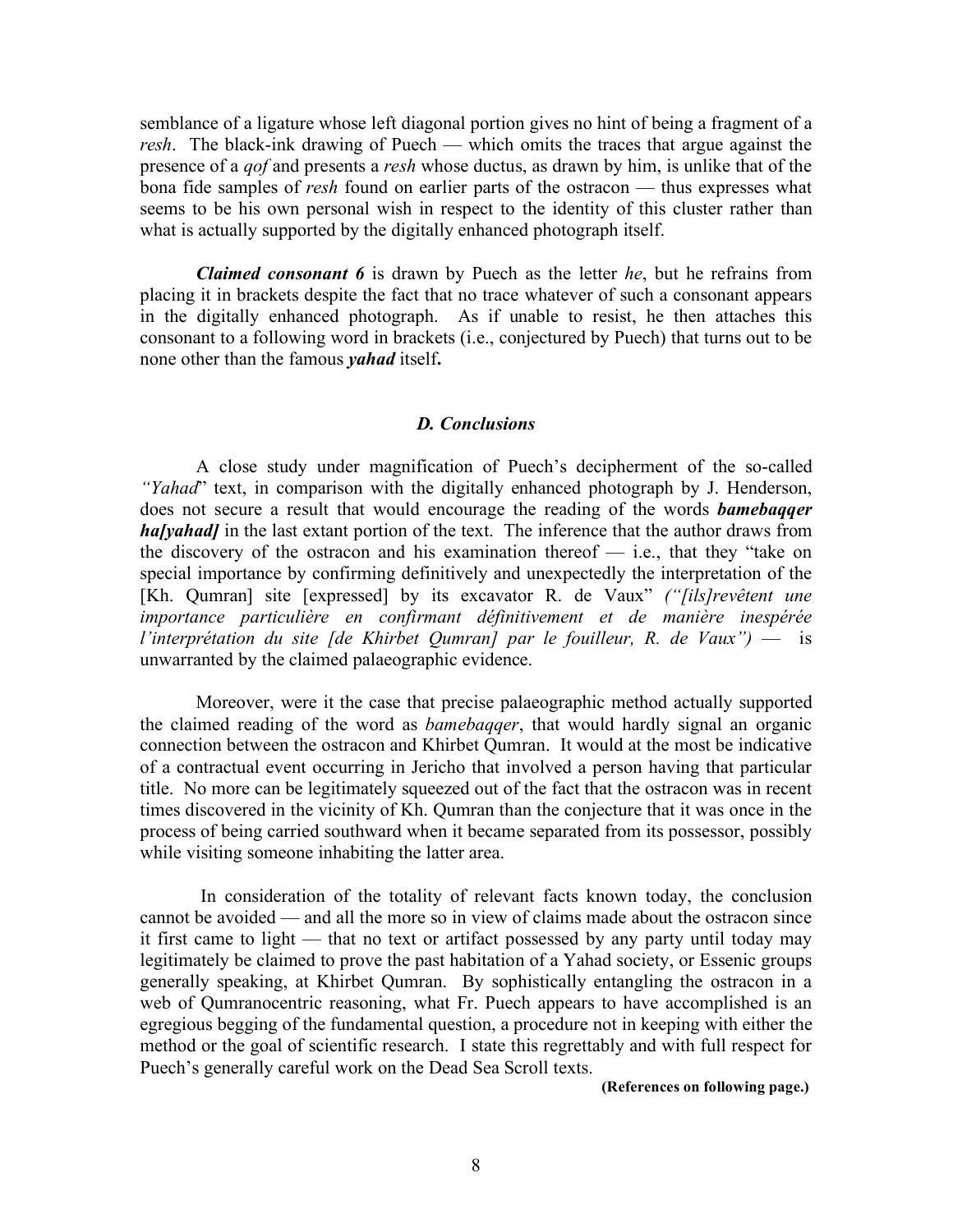semblance of a ligature whose left diagonal portion gives no hint of being a fragment of a *resh*. The black-ink drawing of Puech — which omits the traces that argue against the presence of a *qof* and presents a *resh* whose ductus, as drawn by him, is unlike that of the bona fide samples of *resh* found on earlier parts of the ostracon — thus expresses what seems to be his own personal wish in respect to the identity of this cluster rather than what is actually supported by the digitally enhanced photograph itself.

*Claimed consonant 6* is drawn by Puech as the letter *he*, but he refrains from placing it in brackets despite the fact that no trace whatever of such a consonant appears in the digitally enhanced photograph. As if unable to resist, he then attaches this consonant to a following word in brackets (i.e., conjectured by Puech) that turns out to be none other than the famous *yahad* itself**.**

#### *D. Conclusions*

A close study under magnification of Puech's decipherment of the so-called *"Yahad*" text, in comparison with the digitally enhanced photograph by J. Henderson, does not secure a result that would encourage the reading of the words *bamebaqqer* **halyahad** in the last extant portion of the text. The inference that the author draws from the discovery of the ostracon and his examination thereof  $-$  i.e., that they "take on special importance by confirming definitively and unexpectedly the interpretation of the [Kh. Qumran] site [expressed] by its excavator R. de Vaux" *("[ils]revêtent une importance particulière en confirmant définitivement et de manière inespérée l'interprétation du site [de Khirbet Qumran] par le fouilleur, R. de Vaux")* — is unwarranted by the claimed palaeographic evidence.

Moreover, were it the case that precise palaeographic method actually supported the claimed reading of the word as *bamebaqqer*, that would hardly signal an organic connection between the ostracon and Khirbet Qumran. It would at the most be indicative of a contractual event occurring in Jericho that involved a person having that particular title. No more can be legitimately squeezed out of the fact that the ostracon was in recent times discovered in the vicinity of Kh. Qumran than the conjecture that it was once in the process of being carried southward when it became separated from its possessor, possibly while visiting someone inhabiting the latter area.

In consideration of the totality of relevant facts known today, the conclusion cannot be avoided — and all the more so in view of claims made about the ostracon since it first came to light — that no text or artifact possessed by any party until today may legitimately be claimed to prove the past habitation of a Yahad society, or Essenic groups generally speaking, at Khirbet Qumran. By sophistically entangling the ostracon in a web of Qumranocentric reasoning, what Fr. Puech appears to have accomplished is an egregious begging of the fundamental question, a procedure not in keeping with either the method or the goal of scientific research. I state this regrettably and with full respect for Puech's generally careful work on the Dead Sea Scroll texts.

**(References on following page.)**